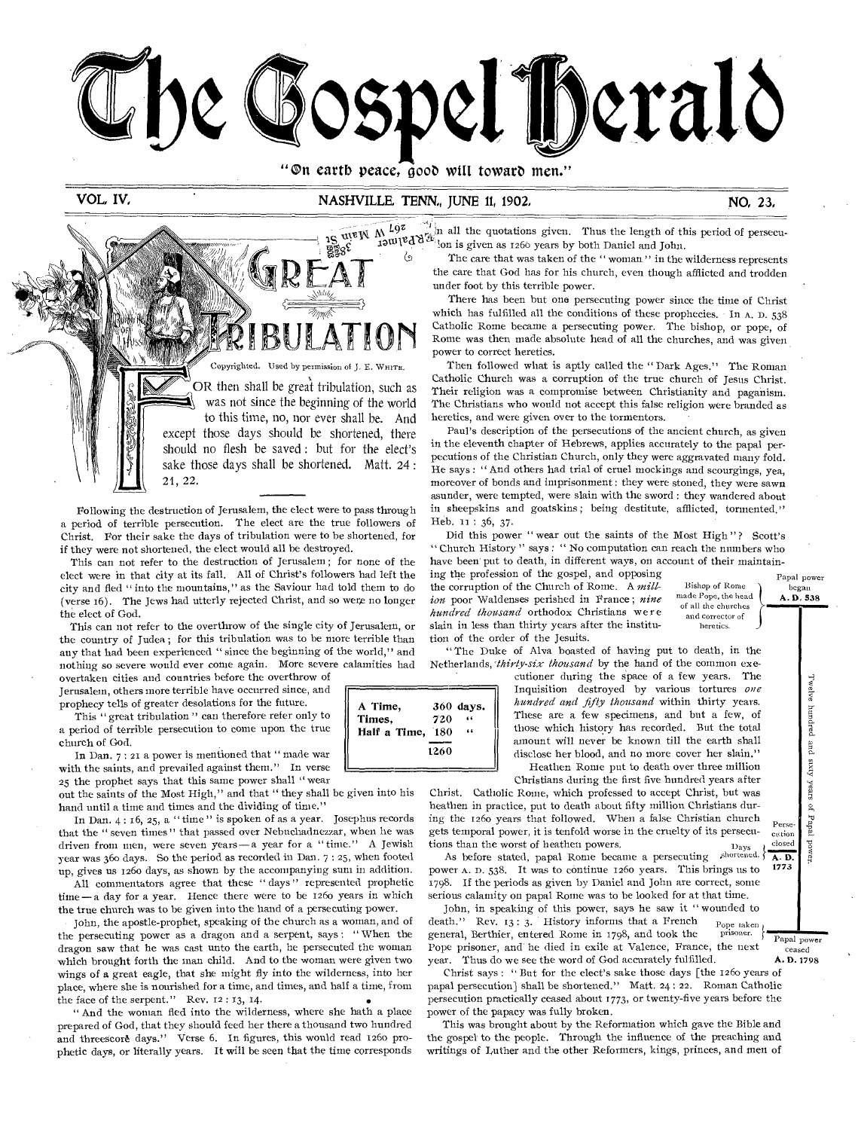

"On earth peace, good will toward men."

# VOL, IV, NASHVILLE, TENN, JUNE 11, 1902, NO, 23, NO, 23,

A Time,  $360 \text{ days}$ .<br>Times,  $720$  " Times, 720<br>Half a Time, 180 Half a Time, 180 "

1260

 $\epsilon$ 



 $\overline{\text{supp W M}}$   $\overline{\text{log W M}}$  all the quotations given. Thus the length of this period of persecu-<br>  $\overline{\text{log W M}}$   $\overline{\text{log W}}$  on is given as 1260 years by both Doniel and Laby  $\mathcal{R}_{\mathbf{d}}$  is given as 1266 years by both Daniel and John.<br> $\langle \cdot \rangle$  The care that was taken of the "woman" in the t



Following the destruction of Jerusalem, the elect were to pass through a period of terrible persecution. The elect are the true followers of Christ. For their sake the days of tribulation were to be shortened, for if they were not shortened, the elect would all be destroyed.

This can not refer to the destruction of Jerusalem ; for none of the elect were in that city at its fall. All of Christ's followers had left the city and fled " into the mountains," as the Saviour had told them to do (verse 16). The Jews had utterly rejected Christ, and so were no longer the elect of God.

This can not refer to the overthrow of the single city of Jerusalem, or the country of Judea ; for this tribulation was to be more terrible than any that had been experienced " since the beginning of the world," and nothing so severe would ever come again. More severe calamities had overtaken cities and countries before the overthrow of

Jerusalem, others more terrible have occurred since, and prophecy tells of greater desolations for the future.

This " great tribulation" can therefore refer only to a period of terrible persecution to come upon the true church of God.

In Dan. 7 : 21 a power is mentioned that " made war with the saints, and prevailed against them." In verse 25 the prophet says that this same power shall "wear

•hand until a time and times and the dividing of time." out the saints of the Most High," and that " they shall be given into his

 In Dan. 4 : 16, 25, a " time " is spoken of as a year. Josephus records that the " seven times " that passed over Nebuchadnezzar, when he was driven from men, were seven years— a year for a " time." A Jewish year was 36o days. So the period as recorded in Dan. 7 : 25, when footed up, gives us 126o days, as shown by the accompanying sum in addition.

All commentators agree that these "days" represented prophetic time— a day for a year. Hence there were to be 126o years in which the true church was to be given into the hand of a persecuting power.

John, the apostle-prophet, speaking of the church as a woman, and of the persecuting power as a dragon and a serpent, says : " When the dragon saw that he was cast unto the earth, he persecuted the woman which brought forth the man child. And to the woman were given two wings of a great eagle, that she might fly into the wilderness, into her place, where she is nourished for a time, and times, and half a time, from the face of the serpent." Rev. 12:13, 14.

" And the woman fled into the wilderness, where she hath a place prepared of God, that they should feed her there a thousand two hundred and threescore days." Verse 6. In figures, this would read 1260 prophetic days, or literally years. It will be seen that the time corresponds

The care that was taken of the "woman" in the wilderness represents the care that God has for his church, even though afflicted and trodden under foot by this terrible power.

There has been but one persecuting power since the time of Christ which has fulfilled all the conditions of these prophecies. In A. D. 538 Catholic Rome became a persecuting power. The bishop, or pope, of Rome was then made absolute head of all the churches, and was given power to correct heretics.

Then followed what is aptly called the " Dark Ages." The Roman Catholic Church was a corruption of the true church of Jesus Christ. Their religion was a compromise between Christianity and paganism. The Christians who would not accept this false religion were branded as heretics, and were given over to the tormentors.

Paul's description of the persecutions of the ancient church, as given in the eleventh chapter of Hebrews, applies accurately to the papal perpecutions of the Christian Church, only they were aggravated many fold. He says : " And others had trial of cruel mockings and scourgings, yea, moreover of bonds and imprisonment : they were stoned, they were sawn asunder, were tempted, were slain with the sword : they wandered about in sheepskins and goatskins; being destitute, afflicted, tormented." Heb. 11 : 36, 37.

Did this power " wear out the saints of the Most High"? Scott's " Church History " says : " No computation can reach the numbers who have been put to death, in different ways, on account of their maintain-

ing the profession of the gospel, and opposing the corruption of the Church of Rome. A *million* poor Waldenses perished in France ; *nine hundred Thousand* orthodox Christians were slain in less than thirty years after the institution of the order of the Jesuits.

Bishop of Rome of all the churches and corrector of heretics. **OMMAIIIM!..1111** 

made Pope, the head

" The Duke of Alva boasted of having put to death, in the Netherlands, *:thirty-six thousand* by the hand of the common exe-

cutioner during the space of a few years. The Inquisition destroyed by various tortures *one hundred and fifty thousand* within thirty years. These are a few specimens, and but a few, of those which history has recorded. But the total amount will never be known till the earth shall disclose her blood, and no more cover her slain." Heathen Rome put to death over three million

Christians during the first five hundred years after

Christ. Catholic Rome, which professed to accept Christ, but was heathen in practice, put to death about fifty million Christians during the 126o years that followed. When a false Christian church gets temporal power, it is tenfold worse in the cruelty of its persecutions than the worst of heathen powers.<br>As before stated papal Rome became a persecuting shortened. cution

As before stated, papal Rome became a persecuting shortened.  $\overline{\phantom{1}}$  A. D. power A. D. 538. It was to continue 1260 years. This brings us to 1798. If the periods as given by Daniel and John are correct, some serious calamity on papal Rome was to be looked for at that time.

John, in speaking of this power, says he saw it " wounded to death." Rev. 13: 3. History informs that a French pope taken<br>concept. Borthier entered Rome in 1708 and took the prisoner. general, Berthier, entered Rome in 1798, and took the Pope prisoner, and he died in exile at Valence, France, the next year. Thus do we see the word of God accurately fulfilled. **A.D.** 1798

Christ says : " But for the elect's sake those days [the 126o years of papal persecution] shall be shortened." Matt. 24: 22. Roman Catholic persecution practically ceased about 1773, or twenty-five years before the power of the papacy was fully broken.

This was brought about by the Reformation which gave the Bible and the gospel to the people. Through the influence of the preaching and writings of Luther and the other Reformers, kings, princes, and men of

Papal power ceased

welve hundred and si

Twelve hundred and sixty years

Papal power began A. D. 538

years of Papal power

power.

 $\mathbf{S}$  $_{\rm 12apal}$ 

Perse-

closed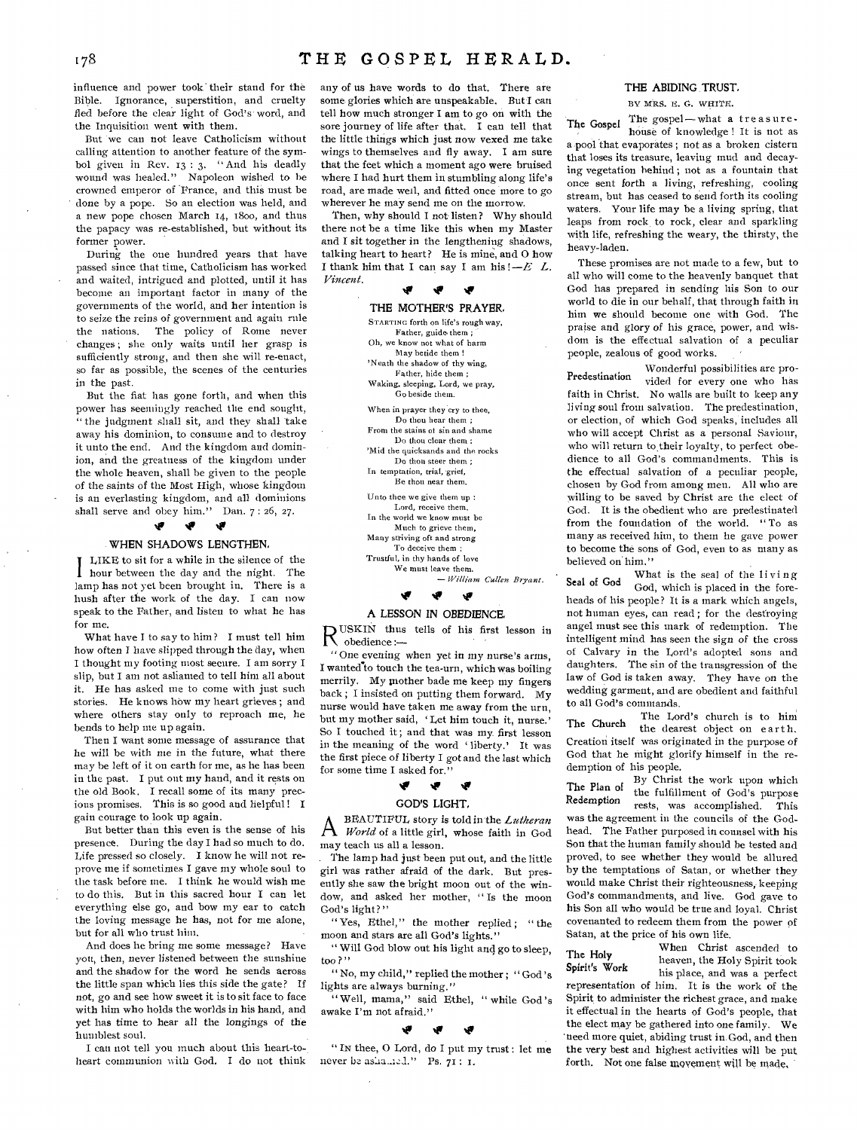influence and power took their stand for the Bible. Ignorance, superstition, and cruelty fled before the clear light of God's word, and the Inquisition went with them.

But we can not leave Catholicism without calling attention to another feature of the symbol given in Rev. 13 : 3. "And his deadly wound was healed." Napoleon wished to he crowned emperor of France, and this must be ' done by a pope. So an election was held, and a new pope chosen March 14, 1800, and thus the papacy was re-established, but without its former power.

During the one hundred years that have passed since that time, Catholicism has worked and waited, intrigued and plotted, until it has become an important factor in many of the governments of the world, and her intention is to seize the reins of government and again rule the nations. The policy of Rome never changes ; she only waits until her grasp is sufficiently strong, and then she will re-enact, so far as possible, the scenes of the centuries in the past.

But the fiat has gone forth, and when this power has seemingly reached the end sought, " the judgment shall sit, and they shall take away his dominion, to consume and to destroy it unto the end. And the kingdom and dominion, and the greatness of the kingdom under the whole heaven, shall be given to the people of the saints of the Most High, whose kingdom is an everlasting kingdom, and all dominions shall serve and obey him." Dan.  $7:26$ , 27.

# WHEN SHADOWS LENGTHEN,

LIKE to sit for a while in the silence of the hour between the day and the night. The lamp has not yet been brought in. There is a hush after the work of the day. I can now speak to the Father, and listen to what he has for me.

What have I to say to him? I must tell him how often I have slipped through the day, when I thought my footing most secure. I am sorry I slip, but I am not ashamed to tell him all about it. He has asked me to come with just such stories. He knows how my heart grieves ; and where others stay only to reproach me, he bends to help me up again.

Then I want some message of assurance that he will be with me in the future, what there may be left of it on earth for me, as he has been in the past. I put out my hand, and it rests on the old Book. I recall some of its many precious promises. This is so good and helpful ! I gain courage to look up again.

But better than this even is the sense of his presence. During the day I had so much to do. Life pressed so closely. I know he will not reprove me if sometimes I gave my whole soul to the task before me. I think he would wish me to do this. But in this sacred hour I can let everything else go, and bow my ear to catch the loving message he has, not for me alone, but for all who trust him.

And does he bring me some message? Have you, then, never listened between the sunshine and the shadow for the word he sends across the little span which lies this side the gate? If not, go and see how sweet it is to sit face to face with him who holds the worlds in his hand, and yet has time to hear all the longings of the humblest soul.

I can not tell you much about this heart-toheart communion with God. I do not think any of us have words to do that. There are some glories which are unspeakable. But I can tell how much stronger I am to go on with the sore journey of life after that. I can tell that the little things which just now vexed me take wings to themselves and fly away, I am sure that the feet which a moment ago were bruised where I had hurt them in stumbling along life's road, are made well, and fitted once more to go wherever he may send me on the morrow.

Then, why should I not-listen? Why should there not be a time like this when my Master and I sit together in the lengthening shadows, talking heart to heart? He is mine, and 0 how I thank him that I can say I am his ! *—E L. Vincent.* 

Ŵ  $\bullet$ THE MOTHER'S PRAYER. STARTING forth on life's rough way, Father, guide them; Oh, we know not what of harm May betide them ! 'Neath the shadow of thy wing, Father, hide them ; Waking, sleeping, Lord, we pray, Go beside them. When in prayer they cry to thee, Do thou hear them From the stains of sin and shame Do thou clear them ; 'Mid the quicksands and the rocks Do thou steer them ; In temptation, trial, grief, Be thou near them. Unto thee we give them up : Lord, receive them. In the world we know must be Much to grieve them, Many striving oft and strong To deceive them ; Trustful, in thy hands of love We must leave them.

— William Cullen Bryant. *0 0 0* 

#### A LESSON IN *OBEDIENCE.*

R<sup>USKIN</sup> thus USKIN thus tells of his first lesson in

" One evening when yet in my nurse's arms, I wanted to touch the tea-urn, which was boiling merrily. My mother bade me keep my fingers back ; I insisted on putting them forward. My nurse would have taken me away from the urn, but my mother said, 'Let him touch it, nurse.' So I touched it ; and that was my first lesson in the meaning of the word ' liberty.' It was the first piece of liberty I got and the last which for some time I asked for.'

# **if if**

# GOD'S LIGHT,

A BEACTIFUL story is told in the Lutheran<br>*World* of a little girl, whose faith in God BEAUTIFUL story is told in the *Lutheran*  may teach us all a lesson.

The lamp had just been put out, and the little girl was rather afraid of the dark. But presently she saw the bright moon out of the window, and asked her mother, " Is the moon God's light?"

" Yes, Ethel," the mother replied; "the moon and stars are all God's lights.'

" Will God blow out his light and go to sleep, too ? "

" No, my child," replied the mother ; " God's lights are always burning."

" Well, mama," said Ethel, " while God's awake I'm not afraid."

# **tr**

" IN thee, 0 Lord, do I put my trust : let me never he as  $a=1$ ." Ps.  $71$ : I.

# THE ABIDING TRUST.

BY MRS. E. G. WHITE.

The Gospel The gospel — what a treasurehouse of knowledge ! It is not as a pool that evaporates ; not as a broken cistern that loses its treasure, leaving mud and decaying vegetation behind ; not as a fountain that once sent forth a living, refreshing, cooling stream, but has ceased to send forth its cooling waters. Your life may be a living spring, that leaps from rock to rock, clear and sparkling with life, refreshing the weary, the thirsty, the heavy-laden.

These promises are not made to a few, but to all who will come to the heavenly banquet that God has prepared in sending his Son to our world to die in our behalf, that through faith in him we should become one with God. The praise and glory of his grace, power, and wisdom is the effectual salvation of a peculiar people, zealous of good works.

Predestination Wonderful possibilities are provided for every one who has faith in Christ. No walls are built to keep any living soul from salvation. The predestination, or election, of which God speaks, includes all who will accept Christ as a personal Saviour, who will return to their loyalty, to perfect obedience to all God's commandments. This is the effectual salvation of a peculiar people, chosen by God from among men. All who are willing to be saved by Christ are the elect of God. It is the obedient who are predestinated from the foundation of the world. " To as many as received him, to them he gave power to become the sons of God, even to as many as believed on him."

Seal of God Cod which is the seal of the living God, which is placed in the foreheads of his people? It is a mark which angels, not human eyes, can read ; for the destroying angel must see this mark of redemption. The intelligent mind has seen the sign of the cross of Calvary in the Lord's adopted sons and daughters. The sin of the transgression of the law of God is taken away. They have on the wedding garment, and are obedient and faithful to all God's commands.

The Lord's church is to him The Church the Lord's church is to min Creatiori itself was originated in the purpose of God that he might glorify himself in the redemption of his people.

The Plan of  $\frac{By}{the}$  Christ the work upon which the fulfillment of God's purpose Redemption rests, was accomplished. This was the agreement in the councils of the Godhead. The Father purposed in counsel with his Son that the human family should be tested and proved, to see whether they would be allured by the temptations of Satan, or whether they would make Christ their righteousness, keeping God's commandments, and live. God gave to his Son all who would be true and loyal. Christ covenanted to redeem them from the power of Satan, at the price of his own life.

The Holy When Christ ascended to<br>
Real When the Holy Spirit took

heaven, the Holy Spirit took Spirit's Work his place, and was a perfect representation of him. It is the work of the Spirit to administer the richest grace, and make it effectual in the hearts of God's people, that the elect may be gathered into one family. We 'need more quiet, abiding trust in. God, and then the very best and highest activities will be put forth. Not one false movement will be made,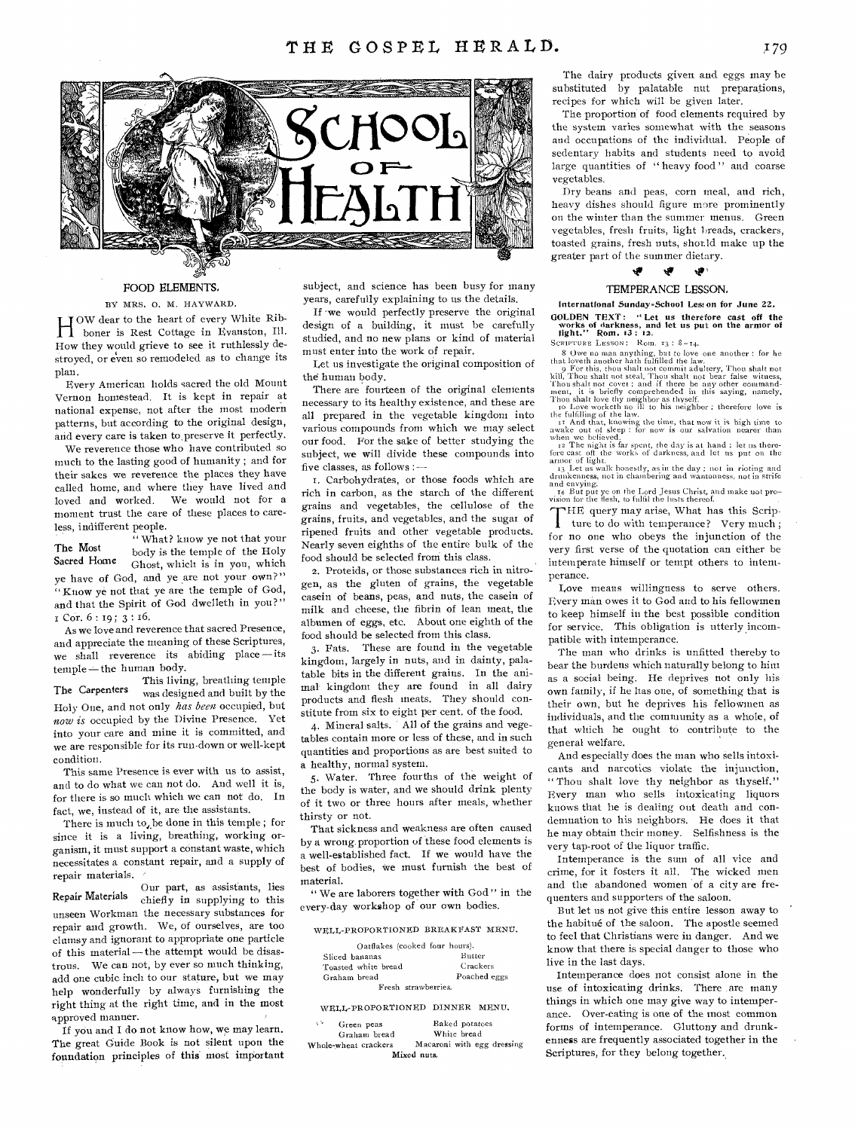

#### FOOD ELEMENTS,

# BY MRS. 0. M. HAYWARD.

H OW dear to the heart of every White Rib-<br>boner is Rest Cottage in Evanston, Ill. boner is Rest Cottage in Evanston, Ill. How they would grieve to see it ruthlessly destroyed, or even so remodeled as to change its plan.

Every American holds sacred the old Mount Vernon homestead. It is kept in repair at national expense, not after the most modern patterns, but according to the original design, and every care is taken to,preserve it perfectly.

We reverence those who have contributed so much to the lasting good of humanity ; and for their sakes we reverence the places they have called home, and where they have lived and loved and worked. We would not for a moment trust the care of these places to careless, indifferent people.

" What? know ye not that your The Most<br>Sacred Home<br>Choot which is in you which Ghost, which is in you, which ye have of God, and ye are not your own?" " Know ye not that ye are the temple of God, and that the Spirit of God dwelleth in you?" COT. 6 : 19 ; 3 : 16.

As we love and reverence that sacred Presence, and appreciate the meaning of these Scriptures, we shall reverence its abiding place —its temple-the human body.

This living, breathing temple The Carpenters was designed and built by the Holy One, and not only has been occupied, but *now is* occupied by the Divine Presence. Yet into your care and mine it is committed, and we are responsible for its run-down or well-kept condition.

This same Presence is ever with us to assist, and to do what we can not do. And well it is, for there is so much which we can not do. In fact, we, instead of it, are the assistants.

There is much to, be done in this temple; for since it is a living, breathing, working organism, it must support a constant waste, which necessitates a constant repair, and a supply of repair materials.

Our part, as assistants, lies Repair Materials chiefly in supplying to this unseen Workman the necessary substances for repair and growth. We, of ourselves, are too clumsy and ignorant to appropriate one particle of this material — the attempt would be disastrous. We can- not, by ever so much thinking, add one cubic inch to our stature, but we may help wonderfully by always furnishing the right thing at the right time, and in the most approved manner.

If you and I do not know how, we may learn. The great Guide Book is not silent upon the foundation principles of this most important subject, and science has been busy for many years, carefully explaining to us the details.

If we would perfectly preserve the original design of a building, it must be carefully studied, and no new plans or kind of material must enter into the work of repair.

Let us investigate the original composition of the human body.

There are fourteen of the original elements necessary to its healthy existence, and these are all prepared in the vegetable kingdom into various compounds from which we may select our food. For the sake of better studying the subject, we will divide these compounds into five classes, as follows :—

I. Carbohydrates, or those foods which are rich in carbon, as the starch of the different grains and vegetables, the cellulose of the grains, fruits, and vegetables, and the sugar of ripened fruits and other vegetable products. Nearly seven eighths of the entire bulk of the food should be selected from this class.

2. Proteids, or those substances rich in nitrogen, as the gluten of grains, the vegetable casein of beans, peas, and nuts, the casein of milk and cheese, the fibrin of lean meat, the albumen of eggs, etc. About one eighth of the food should be selected from this class.

3. Fats. These are found in the vegetable kingdom, largely in nuts, and in dainty, palatable bits in the different grains. In the animal kingdom they are found in all dairy products and flesh meats. They should constitute from six to eight per cent, of the food.

4. Mineral salts. All of the grains and vegetables contain more or less of these, and in such quantities and proportions as are best suited to a healthy, normal system.

5. Water. Three fourths of the weight of the body is water, and we should drink plenty of it two or three hours after meals, whether thirsty or not.

That sickness and weakness are often caused by a wrong proportion of these food elements is a well-established fact. If we would have the best of bodies, we must furnish the best of material.

" We are laborers together with God " in the every-day workshop of our own bodies.

# WELL-PROPORTIONED BREAKFAST MENU.

| Oatflakes (cooked four hours). |              |
|--------------------------------|--------------|
| Sliced bananas                 | Butter       |
| Toasted white bread            | Crackers     |
| Graham bread                   | Poached eggs |
| Fresh strawberries.            |              |

#### WELL-PROPORTIONED DINNER MENU.

| 77<br>Green peas     | Baked potatoes             |
|----------------------|----------------------------|
| Graham bread         | White bread                |
| Whole-wheat crackers | Macaroni with egg dressing |
|                      | Mixed nuts.                |

The dairy products given and eggs may be substituted by palatable nut preparations, recipes for which will be given later.

The proportion of food elements required by the system varies somewhat with the seasons and occupations of the individual. People of sedentary habits and students need to avoid large quantities of "heavy food" and coarse vegetables.

Dry beans and peas, corn meal, and rich, heavy dishes should figure more prominently on the winter than the summer menus. Green vegetables, fresh fruits, light breads, crackers, toasted grains, fresh nuts, should make up the greater part of the summer dietary.

#### t**ig** s tig

# TEMPERANCE LESSON,

International Sunday-School Less on for June 22. GOLDEN TEXT: " Let us therefore cast off the works of darkness, and let us put on the armor of light." Rom. 13: **12.** 

SCRIPTURE LESSON: Rom. 13:  $8-14$ .<br>
8 Owe no man anything, but to love oue another: for he<br>
that loveth another hath fulfilled the law.<br>
9 For this, thou shalt not commit adultery, Thou shalt not<br>
9 For this, thou shalt n

14 But put ye on the Lord Jesus Christ, and make not pro-vision for the flesh, to fulfil the lusts thereof.

"HE query may arise, What has this Scrip-

THE query may arise, What has this Scripture to do with temperance? Very much; for no one who obeys the injunction of the very first verse of the quotation can either be intemperate himself or tempt others to intemperance.

Love means willingness to serve others. Every man owes it to God and to his fellowmen to keep himself in the best possible condition for service. This obligation is utterly incompatible with intemperance.

The man who drinks is unfitted thereby to bear the burdens which naturally belong to hint as a social being. He deprives not only his own family, if he has one, of something that is their own, but he deprives his fellowmen as individuals, and the community as a whole, of that which he ought to contribute to the general welfare.

And especially does the man who sells intoxicants and narcotics violate the injunction, " Thou shalt love thy neighbor as thyself." Every man who sells intoxicating liquors knows that he is dealing out death and condemnation to his neighbors. He does it that he may obtain their money. Selfishness is the very tap-root of the liquor traffic.

Intemperance is the sum of all vice and crime, for it fosters it all. The wicked men and the abandoned women of a city are frequenters and supporters of the saloon.

But let us not give this entire lesson away to the habitué of the saloon. The apostle seemed to feel that Christians were in danger. And we know that there is special danger to those who live in the last days.

Intemperance does not consist alone in the use of intoxicating drinks. There are many things in which one may give way to intemperance. Over-eating is one of the most common forms of intemperance. Gluttony and drunkenness are frequently associated together in the Scriptures, for they belong together.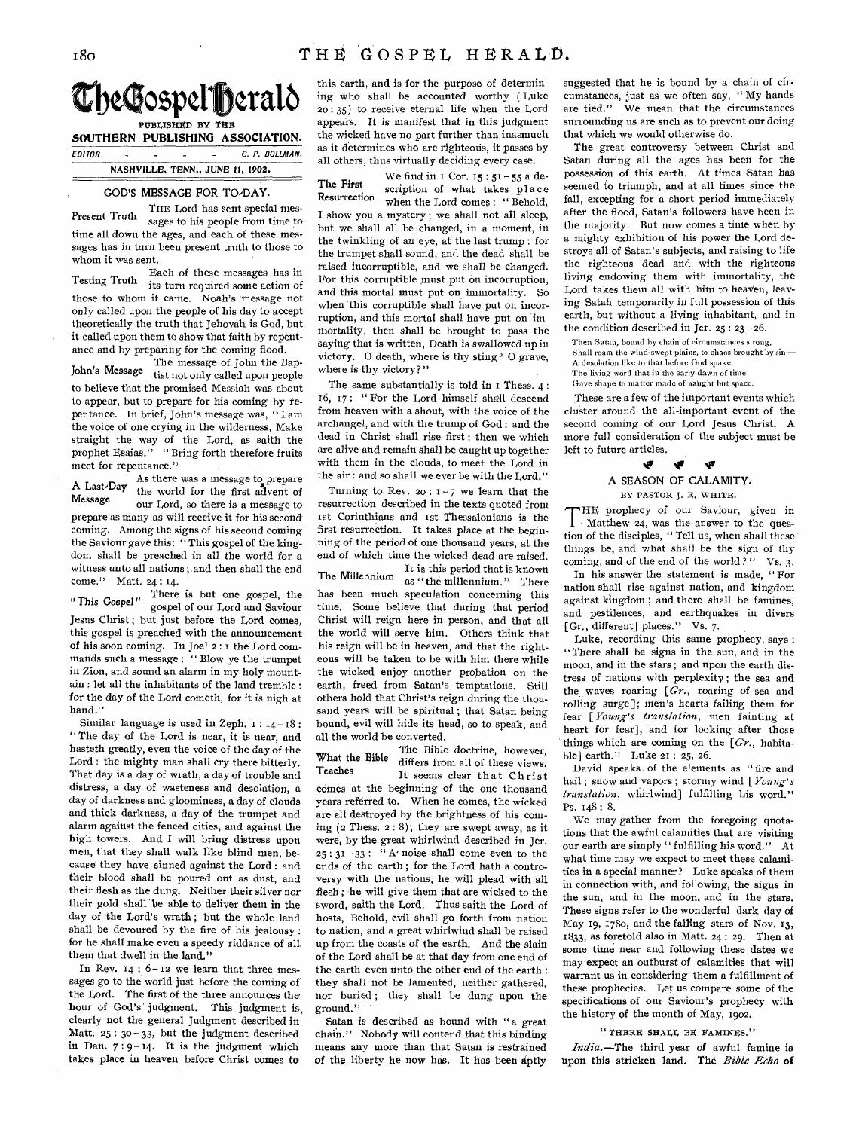

**PUBLISHED BY THE SOUTHERN PUBLISHING ASSOCIATION**. EDITOR . . . . C. P. BOLLMAN.

# **NASHVILLE, TENN., JUNE 11, 1902.**

### GOD'S MESSAGE FOR TO,DAY,

THE Lord has sent special mes-<br>Present Truth correcte his poople from time to sages to his people from time to time all down the ages, and each of these messages has in turn been present truth to those to whom it was sent.

Each of these messages has in Testing Truth its turn required some action of those to whom it came. Noah's message not only called upon the people of his day to accept theoretically the truth that Jehovah is God, but it called upon them to show that faith by repentance and by preparing for the coming flood.

The message of John the Bap-John's Message tist not only called upon people to believe that the promised Messiah was about to appear, but to prepare for his coming by repentance. In brief, John's message was, " I am the voice of one crying in the wilderness, Make straight the way of the Lord, as saith the prophet Esaias." " Bring forth therefore fruits meet for repentance."

As there was a message to prepare A Last, Day the world for the first advent of<br>Message our Lord so there is a message to our Lord, so there is a message to prepare as many as will receive it for his second coming. Among the signs of his second coming the Saviour gave this: " This gospel of the kingdom shall be preached in all the world for a witness unto all nations ;,and then shall the end come." Matt. 24: 14.

There is but one gospel, the "This Gospel" gospel of our Lord and Saviour Jesus Christ ; but just before the Lord comes, this gospel is preached with the announcement of his soon coming. In Joel 2 : I the Lord commands such a message : " Blow ye the trumpet in Zion, and sound an alarm in my holy mountain : let all the inhabitants of the land tremble : for the day of the Lord cometh, for it is nigh at hand.'

Similar language is used in Zeph.  $1: 14-18$ : " The day of the Lord is near, it is near, and hasteth greatly, even the voice of the day of the Lord : the mighty man shall cry there bitterly. That day is a day of wrath, a day of trouble and distress, a day of wasteness and desolation, a day of darkness and gloominess, a day of clouds and thick darkness, a day of the trumpet and alarm against the fenced cities, and against the high towers. And I will bring distress upon men, that they shall walk like blind men, because' they have sinned against the Lord : and their blood shall be poured out as dust, and their flesh as the dung. Neither their silver nor their gold shall be able to deliver them in the day of the Lord's wrath ; but the whole land shall be devoured by the fire of his jealousy: for he shall make even a speedy riddance of all them that dwell in the land."

In Rev.  $14:6-12$  we learn that three messages go to the world just before the coming of the Lord. The first of the three announces the hour of God's' judgment. This judgment is, clearly not the general Judgment described in Matt. 25 : 3o - 33, but the judgment described in Dan.  $7:9-14$ . It is the judgment which takes place in heaven before Christ comes to

this earth, and is for the purpose of determining who shall be accounted worthy ( Luke 20: 35) to receive eternal life when the Lord appears. It is manifest that in this judgment the wicked have no part further than inasmuch as it determines who are righteous, it passes by all others, thus virtually deciding every case.

We find in  $I$  Cor.  $15 : 51 - 55$  a de-The First scription of what takes place Resurrection when the Lord comes: "Behold, I show you a mystery ; we shall not all sleep, but we shall all be changed, in a moment, in the twinkling of an eye, at the last trump : for the trumpet shall sound, and the dead shall be raised incorruptible, and we shall be changed. For this corruptible must put on incorruption, and this mortal must put on immortality. So when this corruptible shall have put on incorruption, and this mortal shall have put on immortality, then shall be brought to pass the saying that is written, Death is swallowed up in victory. 0 death, where is thy sting? 0 grave, where is thy victory?"

The same substantially is told in I Thess. 4: 16, 17 : " For the Lord himself shall descend from heaven with a shout, with the voice of the archangel, and with the trump of God : and the dead in Christ shall rise first : then we which are alive and remain shall be caught up together with them in the clouds, to meet the Lord in the air : and so shall we ever be with the Lord."

Turning to Rev. 20:  $I - 7$  we learn that the resurrection described in the texts quoted from 1st Corinthians and 1st Thessalonians is the first resurrection. It takes place at the beginning of the period of one thousand years, at the end *of* which time the wicked dead are raised. It is this period that is known The Millennium as " the millennium." There has been much speculation concerning this time. Some believe that during that period Christ will reign here in person, and that all the world will serve him. Others think that his reign will be in heaven, and that the righteous will be taken to be with him there while the wicked enjoy another probation on the earth, freed from Satan's temptations, Still others hold that Christ's reign during the thousand years will be spiritual ; that Satan being bound, evil will hide its head, so to speak, and all the world be converted.

The Bible doctrine, however, What the Bible differs from all of these views.<br>Teaches It seems clear that Christ comes at the beginning of the one thousand years referred to. When he comes, the wicked are all destroyed by the brightness of his coming  $(2$  Thess.  $2:8)$ ; they are swept away, as it were, by the great whirlwind described in Jer.  $25 : 31-33 :$  " A' noise shall come even to the ends of the earth ; for the Lord hath a controversy with the nations, he will plead with all flesh ; he will give them that are wicked to the sword, saith the Lord. Thus saith the Lord of hosts, Behold, evil shall go forth from nation to nation, and a great whirlwind shall he raised up from the coasts of the earth. And the slain of the Lord shall be at that day from one end of the earth even unto the other end of the earth : they shall not be lamented, neither gathered, nor buried ; they shall be dung upon the ground." '

Satan is described as bound with " a great chain." Nobody will contend that this binding means any more than that Satan is restrained of the liberty he now has. It has been dptly

suggested that he is bound by a chain of circumstances, just as we often say, " My hands are tied." We mean that the circumstances surrounding us are such as to prevent our doing that which we would otherwise do.

The great controversy between Christ and Satan during all the ages has been for the possession of this earth. At times Satan has seemed to triumph, and at all times since the fall, excepting for a short period immediately after the flood, Satan's followers have been in the majority. But now comes a time when by a mighty exhibition of his power the Lord destroys all of Satan's subjects, and raising to life the righteous dead and with the righteous living endowing them with immortality, the Lord takes them all with him to heaven, leaving Satah temporarily in full possession of this earth, but without a living inhabitant, and in the condition described in Jer.  $25 : 23 - 26$ .

Then Satan, bound by chain of circumstances strong, Shall roam the wind-swept plains, to chaos brought by sin — A desolation like to that before God spake The living word that in the early dawn of time

Gave shape to matter made of naught but space.

These are a few of the important events which cluster around the all-important event of the second coming of our Lord Jesus Christ. A more full consideration of the subject must be left to future articles.

# **tir**  A SEASON OF CALAMITY. BY PASTOR J. E. WHITE.

THE prophecy of our Saviour, given in  $\mathbf{l}$  Matthew 24, was the answer to the question of the disciples, " Tell us, when shall these things be, and what shall be the sign of thy coming, and of the end of the world?" Vs. 3.

In his answer the statement is made, " For nation shall rise against nation, and kingdom against kingdom ; and there shall be famines, and pestilences, and earthquakes in divers [Gr., different] places." Vs. 7.

Luke, recording this same prophecy, says : "There shall be signs in the sun, and in the moon, and in the stars ; and upon the earth distress of nations with perplexity ; the sea and the waves roaring *[Gr.,* roaring of sea and rolling surge]; men's hearts failing them for fear *[Young's translation,* men fainting at heart for fear], and for looking after those things which are coming on the *[Gr.,* habitable] earth." Luke 21 : 25, 26.

David speaks of the elements as " fire and hail ; snow and vapors ; stormy wind [ *Young's translation,* whirlwind] fulfilling his word." Ps. 148: 8.

We may gather from the foregoing quotations that the awful calamities that are visiting our earth are simply " fulfilling his word." At what time may we expect to meet these calamities in a special manner? Luke speaks of them in connection with, and following, the signs in the sun, and in the moon, and in the stars. These signs refer to the wonderful dark day of May 19, 178o, and the falling stars of Nov. 13, 1833, as foretold also in Matt. 24 : 29. Then at some time near and following these dates we may expect an outburst of calamities that will warrant us in considering them a fulfillment of these prophecies. Let us compare some of the specifications of our Saviour's prophecy with the history of the month of May, 1902.

"THERE SHALL BE FAMINES."

*India.—The* third year of awful famine is upon this stricken land. The *Bible Echo* of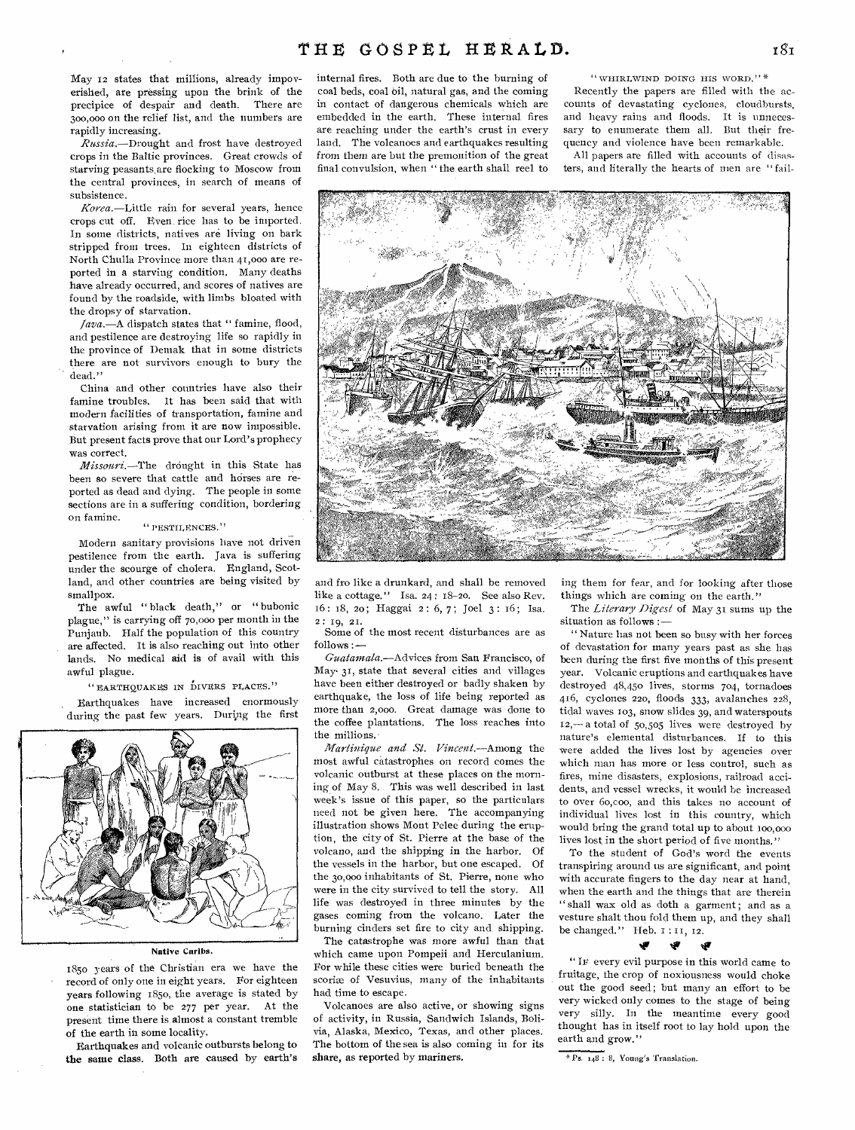May 12 states that millions, already impoverished, are pressing upon the brink of the precipice of despair and death. There are 300,00o on the relief list, and the numbers are rapidly increasing.

*Russia.—Drought* and frost have destroyed crops in the Baltic provinces. Great crowds of starving peasants,are flocking to Moscow from the central provinces, in search of means of subsistence.

*Korea.—Little* rain for several years, hence crops cut off. Even, rice has to be imported. In some districts, natives are living on bark stripped from trees. In eighteen districts of North Chulla Province more than 41,000 are reported in a starving condition. Many deaths have already occurred, and scores of natives are found by the roadside, with limbs bloated with the dropsy of starvation.

*Java.—A* dispatch states that " famine, flood, and pestilence are destroying life so rapidly in the province of Demak that in some districts there are not survivors enough to bury the dead."

China and other countries have also their famine troubles. It has been said that with modern facilities of transportation, famine and starvation arising from it are now impossible. But present facts prove that our Lord's prophecy was correct.

*Missouri.—The* drought in this State has been so severe that cattle and horses are reported as dead and dying. The people in some sections are in a suffering condition, bordering on famine.

#### "PESTILENCES."

Modern sanitary provisions have not driven pestilence from the earth. Java is suffering under the scourge of cholera. England, Scotland, and other countries are being visited by smallpox.

The awful " black death," or " bubonic plague," is carrying off 70,000 per month in the Punjaub. Half the population of this country are affected. It is also reaching out into other lands. No medical aid is of avail with this awful plague.

(° EARTHQUAKES IN DIVERS PI,ACES."

Earthquakes have increased enormously during the past few years. During the first



#### Native Caribs.

1850 years of the Christian era we have the record of only one in eight years. For eighteen years following 185o, the average is stated by one statistician to be 277 per year. At the present time there is almost a constant tremble of the earth in some locality.

Earthquakes and volcanic outbursts belong to the same class. Both are caused by earth's internal fires. Both are due to the burning of coal beds, coal Oil, natural gas, and the coming in contact of dangerous chemicals which are embedded in the earth. These internal fires are reaching under the earth's crust in every land. The volcanoes and earthquakes resulting from them are but the premonition of the great final convulsion, when " the earth shall reel to " WHIRLWIND DOING HIS WORD." \*

Recently the papers are filled with the accounts of devastating cyclones, cloudbursts, and heavy rains and floods. It is unnecessary to enumerate them all. But their frequency and violence have been remarkable.

All papers are filled with accounts of disasters, and literally the hearts of men are " fail-



and fro like a drunkard, and shall be removed like a cottage." Isa. 24: 18-20. See also Rev. 16 : 18, zo ; Haggai 2 : 6, 7 ; Joel 3 : 16 ; Isa. 2 : 19, 21.

Some of the most recent disturbances are as follows *:—* 

*Gualamala.—Advices* from San Francisco, of May. 31, state that several cities and villages have been either destroyed or badly shaken by earthquake, the loss of life being reported as more than 2,000. Great damage was done to the coffee plantations. The loss reaches into the millions.

*Martinique and St. Vincent.—Among* the most awful catastrophes on record comes the volcanic outburst at these places on the morning of May 8. This was well described in last week's issue of this paper, so the particulars need not be given here. The accompanying illustration shows Mont Pelee during the eruption, the city of St. Pierre at the base of the volcano, and the shipping in the harbor. Of the vessels in the harbor, but one escaped. Of the 30,00o inhabitants of St. Pierre, none who were in the city survived to tell the story. All life was destroyed in three minutes by the gases coming from the volcano. Later the burning cinders set fire to city and shipping.

The catastrophe was more awful than that which came upon Pompeii and Herculanium. For while these cities were buried beneath the scoriæ of Vesuvius, many of the inhabitants had time to escape,

Volcanoes are also active, or showing signs of activity, in Russia, Sandwich Islands, Bolivia, Alaska, Mexico, Texas, and other places. The bottom of the sea is also coming in for its share, as reported by mariners.

ing them for fear, and for looking after those things which are coming on the earth."

The *Literary Digest* of May 31 sums up the situation as follows :—

" Nature has not been so busy with her forces of devastation for many years past as she has been during the first five months of this present year. Volcanic eruptions and earthquakes have destroyed 48,450 lives, storms 704, tornadoes 416, cyclones 220, floods 333, avalanches 228, tidal waves 103, snow slides 39, and waterspouts I2,— a total of 50,505 lives were destroyed by nature's elemental disturbances. If to this were added the lives lost by agencies over which man has more or less control, such as fires, mine disasters, explosions, railroad accidents, and vessel wrecks, it would be increased to over 6o,coo, and this takes no account of individual lives lost in this country, which would bring the grand total up to about ioo,000 lives lost in the short period of five months."

To the student of God's word the events transpiring around us are significant, and point with accurate fingers to the day near at hand, when the earth and the things that are therein " shall wax old as doth a garment; and as a vesture shalt thou fold them up, and they shall be changed." Heb. I : II, 12.

#### tr Ŵ

" IF every evil purpose in this world came to fruitage, the crop of noxiousness would choke out the good seed; but many an effort to be very wicked only comes to the stage of being very silly. In the meantime every good thought has in itself root to lay hold upon the earth and grow."

Ps. 148 : 8, Young's Translation.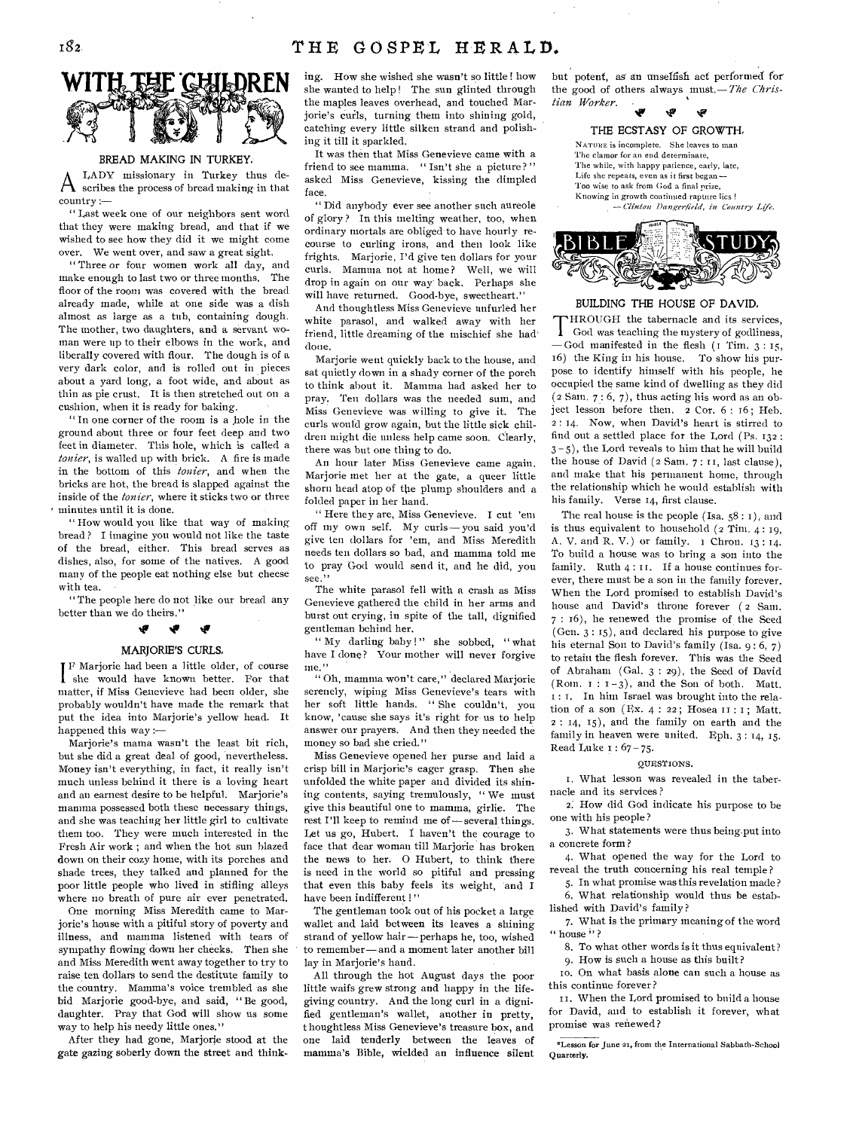# 182 THE GOSPEL HERALD.



# BREAD MAKING IN TURKEY.

 $A$   $_{\text{a}}^{LADX}$  missionary in Turkey thus de-LADY missionary in Turkey thus decountry :—

" Last week one of our neighbors sent word that they were making bread, and that if we wished to see how they did it we might come over. We went over, and saw a great sight.

" Three or four women work all day, and make enough to last two or three months. The floor of the room was covered with the bread already made, while at one side was a dish almost as large as a tub, containing dough. The mother, two daughters, and a servant woman were up to their elbows in the work, and liberally covered with flour. The dough is of a very dark color, and is rolled out in pieces about a yard long, a foot wide, and about as thin as pie crust. It is then stretched out on a cushion, when it is ready for baking.

" In one corner of the room is a hole in the ground about three or four feet deep and two feet in diameter. This hole, which is called a *tonier*, is walled up with brick. A fire is made in the bottom of this *tonier*, and when the bricks are hot, the bread is slapped against the inside of the *tonier*, where it sticks two or three minutes until it is done.

" How would you like that way of making bread ? I imagine you would not like the taste of the bread, either. This bread serves as dishes, also, for some of the natives. A good many of the people eat nothing else but cheese with tea.

" The people here do not like our bread any better than we do theirs."

# **iv le**

# MARJORIE'S CURLS,

F Marjorie had been a little older, of course she would have known better. For that matter, if Miss Genevieve had been older, she probably wouldn't have made the remark that put the idea into Marjorie's yellow head. It happened this way :—

Marjorie's mama wasn't the least bit rich, but she did a great deal of good, 'nevertheless. Money isn't everything, in fact, it really isn't much unless behind it there is a loving heart and an earnest desire to be helpful. Marjorie's mamma possessed both these necessary things, and she was teaching her little girl to cultivate them too. They were much interested in the Fresh Air work ; and when the hot sun blazed down on their cozy home, with its porches and shade trees, they talked and planned for the poor little people who lived in stifling alleys where no breath of pure air ever penetrated.

One morning Miss Meredith came to Marjorie's house with a pitiful story of poverty and illness, and mamma listened with tears of sympathy flowing down her cheeks. Then she and Miss Meredith went away together to try to raise ten dollars to send the destitute family to the country. Mamma's voice trembled as she bid Marjorie good-bye, and said, "Be good, daughter. Pray that God will show us some way to help his needy little ones."

After they had gone, Marjorie stood at the gate gazing soberly down the street and thinking. How she wished she wasn't so little ! how she wanted to help ! The sun glinted through the maples leaves overhead, and touched Marjorie's curls, turning them into shining gold, catching every little silken strand and polishing it till it sparkled.

It was then that Miss Genevieve came with a friend to see mamma. " Isn't she a picture?" asked Miss Genevieve, kissing the dimpled face.

" Did anybody ever see another such aureole of glory ? In this melting weather, too, when ordinary mortals are obliged to have hourly recourse to curling irons, and then look like frights. Marjorie, I'd give ten dollars for your curls. Mamma not at home? Well, we will drop in again on our way' back. Perhaps she will have returned. Good-bye, sweetheart."

And thoughtless Miss Genevieve unfurled her white parasol, and walked away with her friend, little dreaming of the mischief she had' done.

Mariorie went quickly back to the house, and sat quietly down in a shady corner of the porch to think about it. Mamma had asked her to pray. Ten dollars was the needed sum, and Miss Genevieve was willing to give it. The curls would grow again, but the little sick children might die unless help came soon. Clearly, there was but one thing to do.

An hour later Miss Genevieve came again. Marjorie met her at the gate, a queer little shorn head atop of the plump shoulders and a folded paper in her hand.

" Here they are, Miss Genevieve. I cut 'em off my own self. My curls—you said you'd give ten dollars for 'em, and Miss Meredith needs ten dollars so bad, and mamma told me to pray God would send it, and he did, you see."

The white parasol fell with a crash as Miss Genevieve gathered the child in her arms and burst out crying, in spite of the tall, dignified gentleman behind her.

" My darling baby !" she sobbed, " what have I done? Your mother will never forgive me."

" Oh, mamma won't care," declared Marjorie serenely, wiping Miss Genevieve's tears with her soft little hands. " She couldn't, you know, 'cause she says it's right for- us to help answer our prayers. And then they needed the money so bad she cried."

Miss Genevieve opened her purse and laid a crisp bill in Marjorie's eager grasp. Then she unfolded the white paper and divided its shining contents, saying tremulously, " We must give this beautiful one to mamma, girlie. The rest I'll keep to remind me of—several things. Let us go, Hubert. I haven't the courage to face that dear woman till Marjorie has broken the news to her. 0 Hubert, to think there is need in the world so pitiful and pressing that even this baby feels its weight, 'and I have been indifferent !"

The gentleman took out of his pocket a large wallet and laid between its leaves a shining strand of yellow hair—perhaps he, too, wished to remember—and a moment later another bill lay in Marjorie's hand.

All through the hot August days the poor little waifs grew strong and happy in the lifegiving country. And the long curl in a dignified gentleman's wallet, another in pretty, thoughtless Miss Genevieve's treasure box, and one laid tenderly between the leaves of mamma's Bible, wielded an influence silent but potent, as an unselfish act performed for the good of others always must. *— The Christian Worker.* 





# BUILDING THE HOUSE OF DAVID.

T God was teaching the mystery of godliness, HROUGH the tabernacle and its services, —God manifested in the flesh (1 Tim. 3 : 15, 16) the King in his house. To show his purpose to identify himself with his people, he occupied the same kind of dwelling as they did  $(2 Sarn, 7: 6, 7)$ , thus acting his word as an object lesson before then. 2 Cor. 6 : 16; Heb. 2 : 14. Now, when David's heart is stirred to find out a settled place for the Lord (Ps. 132 :  $3-5$ ), the Lord reveals to him that he will build the house of David (2 Sam. 7 : 11, last clause), and make that his permanent home, through the relationship which he would establish with his family. Verse 14, first clause.

The real house is the people (Isa. 58 : *1),* and is thus equivalent to household  $(2 Tim, 4: 19,$ A. V. and R. V.) or family. I Chron. 13 : 14. To build a house was to bring a son into the family. Ruth 4: II. If a house continues forever, there must be a son in the family forever. When the Lord promised to establish David's house and David's throne forever ( 2 Sam. 7 : 16), he renewed the promise of the Seed (Gen. 3 : 15), and declared his purpose to give his eternal Son to David's family (Isa.  $9:6, 7$ ) to retain the flesh forever. This was the Seed of Abraham (Gal. 3 : 29), the Seed of David (Rom.  $1 : 1-3$ ), and the Son of both. Matt. : I. In him Israel was brought into the relation of a son (Ex.  $4:22$ ; Hosea II: I; Matt. 2 : 14, 15), and the family on earth and the family in heaven were united. Eph. 3 : 14, 15. Read Luke t : 67 - 75.

#### QUESTIONS.

I. What lesson was revealed in the tabernacle and its services ?

2: How did God indicate his purpose to be one with his people?

3. What statements were thus being put into a concrete form ?

4. What opened the way for the Lord to reveal the truth concerning his real temple?

5. In what promise was this revelation made ? 6. What relationship would thus be estab-

lished with David's family ? 7. What is the primary meaning of the word

" house "?

8. To what other words is it thus equivalent? 9. How is such a house as this built?

to. On what basis alone can such a house as this continue forever?

II. When the Lord promised to build a house for David, and to establish it forever, what promise was renewed?

"Lesson for June 21, from the International Sabbath-School Quarterly.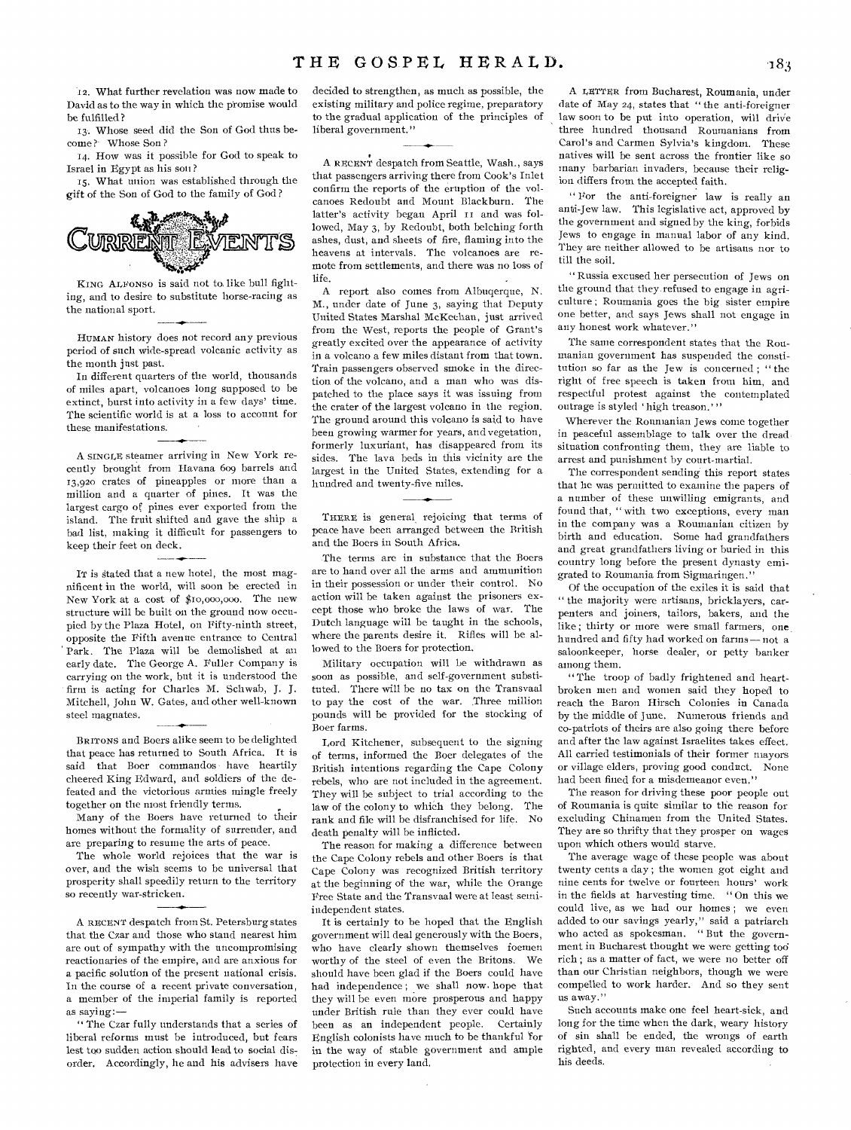'12. What further revelation was now made to David as to the way in which the promise would be fulfilled?

13. Whose seed did the Son of God thus become? Whose Son?

14. How was it possible for God to speak to Israel in Egypt as his son ?

15. What union was established through the gift of the Son of God to the family of God ?



KING ALFONSO is said not to like bull fighting, and to desire to substitute horse-racing as the national sport.

HUMAN history does not record any previous period of such wide-spread volcanic activity as the month just past.

In different quarters of the world, thousands of miles apart, volcanoes long supposed to be extinct, burst into activity in a few days' time. The scientific world is at a loss to account for these manifestations.

A SINGLE steamer arriving in New York recently brought from Havana 609 barrels and 13,920 crates of pineapples or more than a million and a quarter of pines. It was the largest cargo of pines ever exported from the island. The fruit shifted and gave the ship a bad list, making it difficult for passengers to keep their feet on deck.

IT is stated that a new hotel, the most magnificent in the world, will soon be erected in New York at a cost of \$io,000,000. The new structure will be built on the ground now occupied by the Plaza Hotel, on Fifty-ninth street, opposite the Fifth avenue entrance to Central Park. The Plaza will be demolished at an early date. The George A. Fuller Company is carrying on the work, but it is understood the firm is acting for Charles M. Schwab, J. J. Mitchell, John W. Gates, and other well-known steel magnates.

BRITONS and Boers alike seem to be delighted that peace has returned to South Africa. It is said that Boer commandos have heartily cheered King Edward, and soldiers of the defeated and the victorious armies mingle freely together on the most friendly terms.

Many of the Boers have returned to their homes without the formality of surrender, and are preparing to resume the arts of peace.

The whole world rejoices that the war is over, and the wish seems to be universal that prosperity shall speedily return to the territory so recently war-stricken.

A RECENT despatch from St. Petersburg states that the Czar and those who stand nearest him are out of sympathy with the uncompromising reactionaries of the empire, and are anxious for a pacific solution of the present national crisis. In the course of a recent private conversation, a member of the imperial family is reported as saying:—

" The Czar fully understands that a series of liberal reforms must be introduced, but fears lest too sudden action should lead to social disorder. Accordingly, he and his advisers have decided to strengthen, as much as possible, the existing military and police regime, preparatory to the gradual application of the principles of liberal government."

A RECENT despatch from Seattle, Wash., says that passengers arriving there from Cook's Inlet confirm the reports of the eruption of the volcanoes Redoubt and Mount Blackburn. The latter's activity began April II and was followed, May 3, by Redoubt, both belching forth ashes, dust, and sheets of fire, flaming into the heavens at intervals. The volcanoes are remote from settlements, and there was no loss of life.

A report also comes from Albuqerque, N. M., under date of June 3, saying that Deputy United States Marshal McKeehan, just arrived from the West, reports the people of Grant's greatly excited over the appearance of activity in a volcano a few miles distant from that town. Train passengers observed smoke in the direction of the volcano, and a man who was dispatched to the place says it was issuing from the crater of the largest volcano in the region. The ground around this volcano is said to have been growing warmer for years, and vegetation, formerly luxuriant, has disappeared from its sides. The lava beds in this vicinity are the largest in the United States, extending for a hundred and twenty-five miles.

THERE is general rejoicing that terms of peace have been arranged between the British and the Boers in South Africa.

The terms are in substance that the Boers are to hand over all the arms and ammunition in their possession or under their control. No action will be taken against the prisoners except those who broke the laws of war. The Dutch language will be taught in the schools, where the parents desire it. Rifles will be allowed to the Boers for protection.

Military occupation will be withdrawn as soon as possible, and self-government substituted. There will be no tax on the Transvaal to pay the cost of the war. Three million pounds will be provided for the stocking of Boer farms.

Lord Kitchener, subsequent to the signing of terms, informed the Boer delegates of the British intentions regarding the Cape Colony rebels, who are not included in the agreement. They will be subject to trial according to the law of the colony to which they belong. The rank and file will be disfranchised for life. No death penalty will be inflicted.

The reason for making a difference between the Cape Colony rebels and other Boers is that Cape Colony was recognized British territory at the beginning of the war, while the Orange Free State and the Transvaal were at least semiindependent states.

It is certainly to be hoped that the English government will deal generously with the Boers, who have clearly shown themselves foemen<br>worthy of the steel of even the Britons. We worthy of the steel of even the Britons. should have been glad if the Boers could have had independence ; we shall now. hope that they will be even more prosperous and happy under British rule than they ever could have been as an independent people. Certainly English colonists have much to be thankful for in the way of stable government and ample protection in every land.

A IXPTER from Bucharest, Roumania, under date of May 24, states that " the anti-foreigner law soon to be put into operation, will drive three hundred thousand Roumanians from Carol's and Carmen Sylvia's kingdom. These natives will be sent across the frontier like so many barbarian invaders, because their religion differs from the accepted faith.

" For the anti-foreigner law is really an anti-Jew law. This legislative act, approved by the government and signed by the king, forbids Jews to engage in manual labor of any kind. They are neither allowed to be artisans nor to till the soil.

"Russia excused her persecution of Jews on the ground that they, refused to engage in agriculture ; Roumania goes the big sister empire one better, and says Jews shall not engage in any honest work whatever."

The same correspondent states that the Roumanian government has suspended the constitution so far as the Jew is concerned ; " the right of free speech is taken from him, and respectful protest against the contemplated outrage is styled 'high treason.''

Wherever the Roumanian Jews come together in peaceful assemblage to talk over the dread situation confronting them, they are liable to arrest and punishment by court-martial.

The correspondent sending this report states that he was permitted to examine the papers of a number of these unwilling emigrants, and found that, " with two exceptions, every man in the company was a Roumanian citizen by birth and education. Some had grandfathers and great grandfathers living or buried in this country long before the present dynasty emigrated to Roumania from Sigmaringen."

Of the occupation of the exiles it is said that " the majority were artisans, bricklayers, carpenters and joiners, tailors, bakers, and the like; thirty or more were small farmers, one hundred and fifty had worked on farms—not a saloonkeeper, horse dealer, or petty banker among them.

"The troop of badly frightened and heartbroken men and women said they hoped to reach the Baron Hirsch Colonies in Canada by the middle of June. Numerous friends and co-patriots of theirs are also going there before and after the law against Israelites takes effect. All carried testimonials of their former mayors or village elders, proving good conduct. None had been fined for a misdemeanor even."

The reason for driving these poor people out of Roumania is quite similar to the reason for excluding Chinamen from the United States. They are so thrifty that they prosper on wages upon which others would starve.

The average wage of these people was about twenty cents a day ; the women got eight and nine cents for twelve or fourteen hours' work in the fields at harvesting time. " On this we could live, as we had our homes ; we even added to our savings yearly," said a patriarch who acted as spokesman. "But the government in Bucharest thought we were getting too rich ; as a matter of fact, we were no better off than our Christian neighbors, though we were compelled to work harder. And so they sent us away."

Such accounts make one feel heart-sick, and long for the time when the dark, weary history of sin shall be ended, the wrongs of earth righted, and every man revealed according to his deeds.